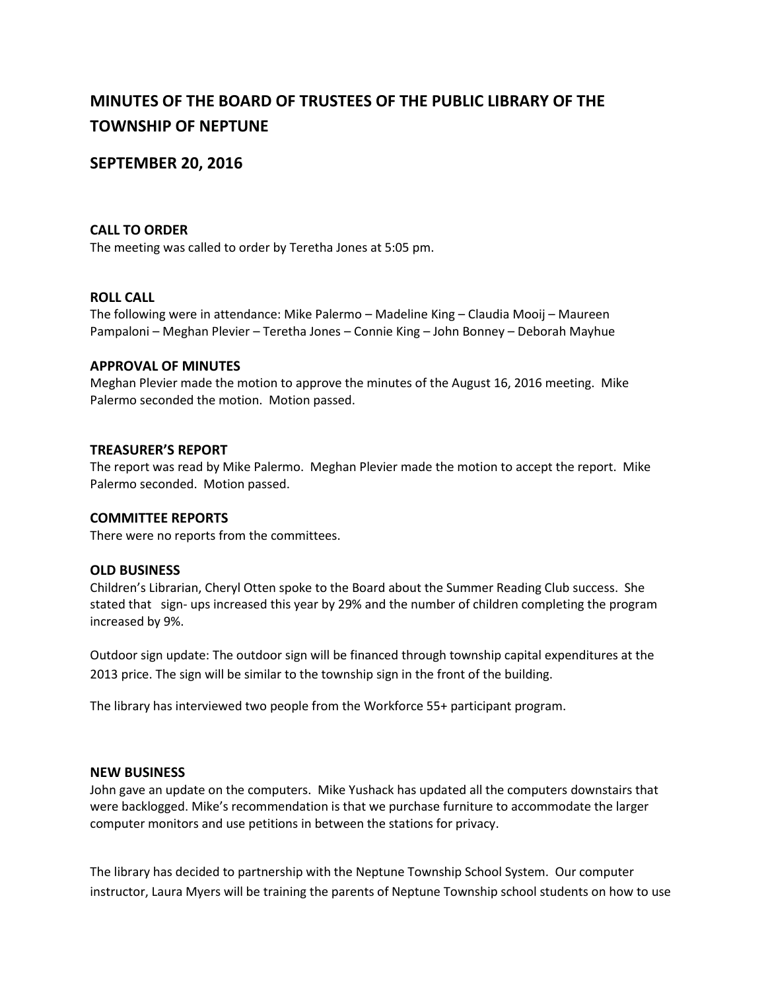# **MINUTES OF THE BOARD OF TRUSTEES OF THE PUBLIC LIBRARY OF THE TOWNSHIP OF NEPTUNE**

# **SEPTEMBER 20, 2016**

# **CALL TO ORDER**

The meeting was called to order by Teretha Jones at 5:05 pm.

#### **ROLL CALL**

The following were in attendance: Mike Palermo – Madeline King – Claudia Mooij – Maureen Pampaloni – Meghan Plevier – Teretha Jones – Connie King – John Bonney – Deborah Mayhue

#### **APPROVAL OF MINUTES**

Meghan Plevier made the motion to approve the minutes of the August 16, 2016 meeting. Mike Palermo seconded the motion. Motion passed.

# **TREASURER'S REPORT**

The report was read by Mike Palermo. Meghan Plevier made the motion to accept the report. Mike Palermo seconded. Motion passed.

# **COMMITTEE REPORTS**

There were no reports from the committees.

# **OLD BUSINESS**

Children's Librarian, Cheryl Otten spoke to the Board about the Summer Reading Club success. She stated that sign- ups increased this year by 29% and the number of children completing the program increased by 9%.

Outdoor sign update: The outdoor sign will be financed through township capital expenditures at the 2013 price. The sign will be similar to the township sign in the front of the building.

The library has interviewed two people from the Workforce 55+ participant program.

#### **NEW BUSINESS**

John gave an update on the computers. Mike Yushack has updated all the computers downstairs that were backlogged. Mike's recommendation is that we purchase furniture to accommodate the larger computer monitors and use petitions in between the stations for privacy.

The library has decided to partnership with the Neptune Township School System. Our computer instructor, Laura Myers will be training the parents of Neptune Township school students on how to use